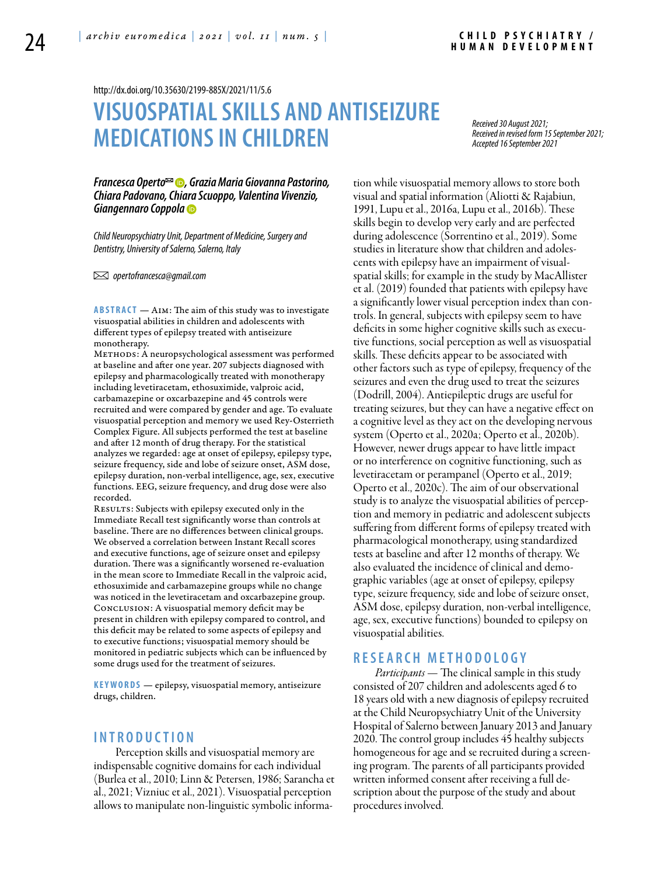http://dx.doi.org/10.35630/2199-885X/2021/11/5.6

# **VISUOSPATIALSKILLS AND ANTISEIZURE MEDICATIONSIN CHILDREN**

*Received 30 August 2021; Received in revised form 15 September 2021; Accepted 16 September 2021*

#### *[Francesca Operto](https://orcid.org/0000-0002-2444-8761) , [Grazia Maria Giovanna Pastorino,](https://orcid.org/0000-0003-0404-5495) Chiara Padovano, Chiara Scuoppo, Valentina Vivenzio, [Giangennaro Coppola](https://orcid.org/0000-0002-9574-0081)*

*Child Neuropsychiatry Unit, Department of Medicine, Surgery and Dentistry, University of Salerno, Salerno, Italy*

 *opertofrancesca@gmail.com* 

**ABSTRACT** — AIM: The aim of this study was to investigate visuospatial abilities in children and adolescents with different types of epilepsy treated with antiseizure monotherapy.

METHODS: A neuropsychological assessment was performed at baseline and after one year. 207 subjects diagnosed with epilepsy and pharmacologically treated with monotherapy including levetiracetam, ethosuximide, valproic acid, carbamazepine or oxcarbazepine and 45 controls were recruited and were compared by gender and age. To evaluate visuospatial perception and memory we used Rey-Osterrieth Complex Figure. All subjects performed the test at baseline and after 12 month of drug therapy. For the statistical analyzes we regarded: age at onset of epilepsy, epilepsy type, seizure frequency, side and lobe of seizure onset, ASM dose, epilepsy duration, non-verbal intelligence, age, sex, executive functions. EEG, seizure frequency, and drug dose were also recorded.

RESULTS: Subjects with epilepsy executed only in the Immediate Recall test significantly worse than controls at baseline. There are no differences between clinical groups. We observed a correlation between Instant Recall scores and executive functions, age of seizure onset and epilepsy duration. There was a significantly worsened re-evaluation in the mean score to Immediate Recall in the valproic acid, ethosuximide and carbamazepine groups while no change was noticed in the levetiracetam and oxcarbazepine group. Conclusion: A visuospatial memory deficit may be present in children with epilepsy compared to control, and this deficit may be related to some aspects of epilepsy and to executive functions; visuospatial memory should be monitored in pediatric subjects which can be influenced by some drugs used for the treatment of seizures.

**KEYWORDS** — epilepsy, visuospatial memory, antiseizure drugs, children.

#### **I n t r o d uct i o n**

Perception skills and visuospatial memory are indispensable cognitive domains for each individual (Burlea et al., 2010; Linn & Petersen, 1986; Sarancha et al., 2021; Vizniuc et al., 2021). Visuospatial perception allows to manipulate non-linguistic symbolic information while visuospatial memory allows to store both visual and spatial information (Aliotti & Rajabiun, 1991, Lupu et al., 2016a, Lupu et al., 2016b). These skills begin to develop very early and are perfected during adolescence (Sorrentino et al., 2019). Some studies in literature show that children and adolescents with epilepsy have an impairment of visualspatial skills; for example in the study by MacAllister et al. (2019) founded that patients with epilepsy have a significantly lower visual perception index than controls. In general, subjects with epilepsy seem to have deficits in some higher cognitive skills such as executive functions, social perception as well as visuospatial skills. These deficits appear to be associated with other factors such as type of epilepsy, frequency of the seizures and even the drug used to treat the seizures (Dodrill, 2004). Antiepileptic drugs are useful for treating seizures, but they can have a negative effect on a cognitive level as they act on the developing nervous system (Operto et al., 2020a; Operto et al., 2020b). However, newer drugs appear to have little impact or no interference on cognitive functioning, such as levetiracetam or perampanel (Operto et al., 2019; Operto et al., 2020c). The aim of our observational study is to analyze the visuospatial abilities of perception and memory in pediatric and adolescent subjects suffering from different forms of epilepsy treated with pharmacological monotherapy, using standardized tests at baseline and after 12 months of therapy. We also evaluated the incidence of clinical and demographic variables (age at onset of epilepsy, epilepsy type, seizure frequency, side and lobe of seizure onset, ASM dose, epilepsy duration, non-verbal intelligence, age, sex, executive functions) bounded to epilepsy on visuospatial abilities.

## **RESEAR C H MET H ODOLO G Y**

*Participants* — The clinical sample in this study consisted of 207 children and adolescents aged 6 to 18 years old with a new diagnosis of epilepsy recruited at the Child Neuropsychiatry Unit of the University Hospital of Salerno between January 2013 and January 2020. The control group includes 45 healthy subjects homogeneous for age and se recruited during a screening program. The parents of all participants provided written informed consent after receiving a full description about the purpose of the study and about procedures involved.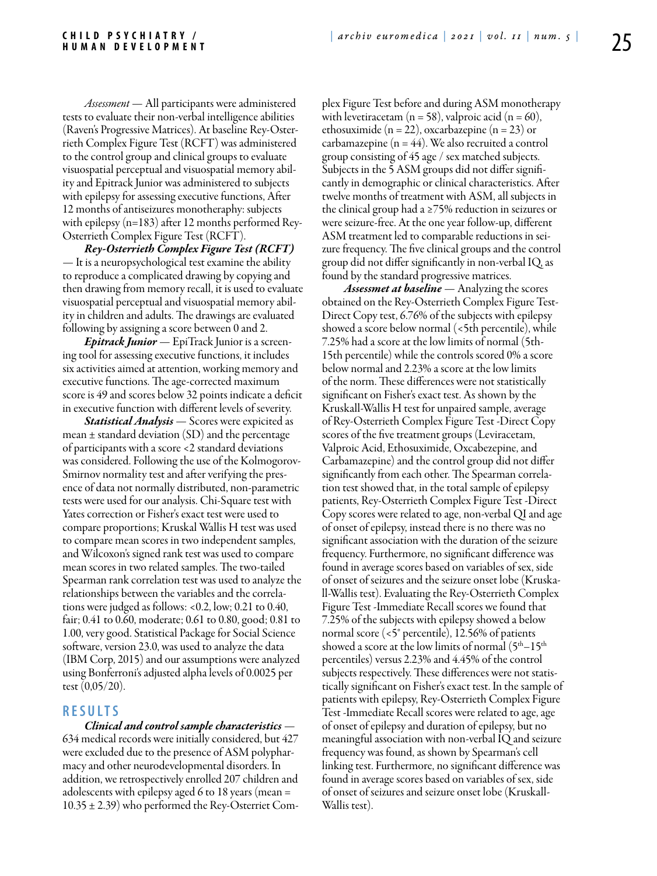*Assessment* — All participants were administered tests to evaluate their non-verbal intelligence abilities (Raven's Progressive Matrices). At baseline Rey-Osterrieth Complex Figure Test (RCFT) was administered to the control group and clinical groups to evaluate visuospatial perceptual and visuospatial memory ability and Epitrack Junior was administered to subjects with epilepsy for assessing executive functions, After 12 months of antiseizures monotheraphy: subjects with epilepsy (n=183) after 12 months performed Rey-Osterrieth Complex Figure Test (RCFT).

*Rey-Osterrieth Complex Figure Test (RCFT)*  — It is a neuropsychological test examine the ability to reproduce a complicated drawing by copying and then drawing from memory recall, it is used to evaluate visuospatial perceptual and visuospatial memory ability in children and adults. The drawings are evaluated following by assigning a score between 0 and 2.

*Epitrack Junior* — EpiTrack Junior is a screening tool for assessing executive functions, it includes six activities aimed at attention, working memory and executive functions. The age-corrected maximum score is 49 and scores below 32 points indicate a deficit in executive function with different levels of severity.

*Statistical Analysis* — Scores were expicited as mean  $\pm$  standard deviation (SD) and the percentage of participants with a score <2 standard deviations was considered. Following the use of the Kolmogorov-Smirnov normality test and after verifying the presence of data not normally distributed, non-parametric tests were used for our analysis. Chi-Square test with Yates correction or Fisher's exact test were used to compare proportions; Kruskal Wallis H test was used to compare mean scores in two independent samples, and Wilcoxon's signed rank test was used to compare mean scores in two related samples. The two-tailed Spearman rank correlation test was used to analyze the relationships between the variables and the correlations were judged as follows: <0.2, low; 0.21 to 0.40, fair; 0.41 to 0.60, moderate; 0.61 to 0.80, good; 0.81 to 1.00, very good. Statistical Package for Social Science software, version 23.0, was used to analyze the data (IBM Corp, 2015) and our assumptions were analyzed using Bonferroni's adjusted alpha levels of 0.0025 per test (0,05/20).

#### **RES U LTS**

*Clinical and control sample characteristics* — 634 medical records were initially considered, but 427 were excluded due to the presence of ASM polypharmacy and other neurodevelopmental disorders. In addition, we retrospectively enrolled 207 children and adolescents with epilepsy aged 6 to 18 years (mean =  $10.35 \pm 2.39$ ) who performed the Rey-Osterriet Complex Figure Test before and during ASM monotherapy with levetiracetam ( $n = 58$ ), valproic acid ( $n = 60$ ), ethosuximide (n = 22), oxcarbazepine (n = 23) or carbamazepine  $(n = 44)$ . We also recruited a control group consisting of 45 age / sex matched subjects. Subjects in the 5 ASM groups did not differ significantly in demographic or clinical characteristics. After twelve months of treatment with ASM, all subjects in the clinical group had a ≥75% reduction in seizures or were seizure-free. At the one year follow-up, different ASM treatment led to comparable reductions in seizure frequency. The five clinical groups and the control group did not differ significantly in non-verbal IQ, as found by the standard progressive matrices.

*Assessmet at baseline* — Analyzing the scores obtained on the Rey-Osterrieth Complex Figure Test-Direct Copy test, 6.76% of the subjects with epilepsy showed a score below normal (<5th percentile), while 7.25% had a score at the low limits of normal (5th-15th percentile) while the controls scored 0% a score below normal and 2.23% a score at the low limits of the norm. These differences were not statistically significant on Fisher's exact test. As shown by the Kruskall-Wallis H test for unpaired sample, average of Rey-Osterrieth Complex Figure Test -Direct Copy scores of the five treatment groups (Leviracetam, Valproic Acid, Ethosuximide, Oxcabezepine, and Carbamazepine) and the control group did not differ significantly from each other. The Spearman correlation test showed that, in the total sample of epilepsy patients, Rey-Osterrieth Complex Figure Test -Direct Copy scores were related to age, non-verbal QI and age of onset of epilepsy, instead there is no there was no significant association with the duration of the seizure frequency. Furthermore, no significant difference was found in average scores based on variables of sex, side of onset of seizures and the seizure onset lobe (Kruskall-Wallis test). Evaluating the Rey-Osterrieth Complex Figure Test -Immediate Recall scores we found that 7.25% of the subjects with epilepsy showed a below normal score (<5° percentile), 12.56% of patients showed a score at the low limits of normal  $(5<sup>th</sup>-15<sup>th</sup>$ percentiles) versus 2.23% and 4.45% of the control subjects respectively. These differences were not statistically significant on Fisher's exact test. In the sample of patients with epilepsy, Rey-Osterrieth Complex Figure Test -Immediate Recall scores were related to age, age of onset of epilepsy and duration of epilepsy, but no meaningful association with non-verbal IQ and seizure frequency was found, as shown by Spearman's cell linking test. Furthermore, no significant difference was found in average scores based on variables of sex, side of onset of seizures and seizure onset lobe (Kruskall-Wallis test).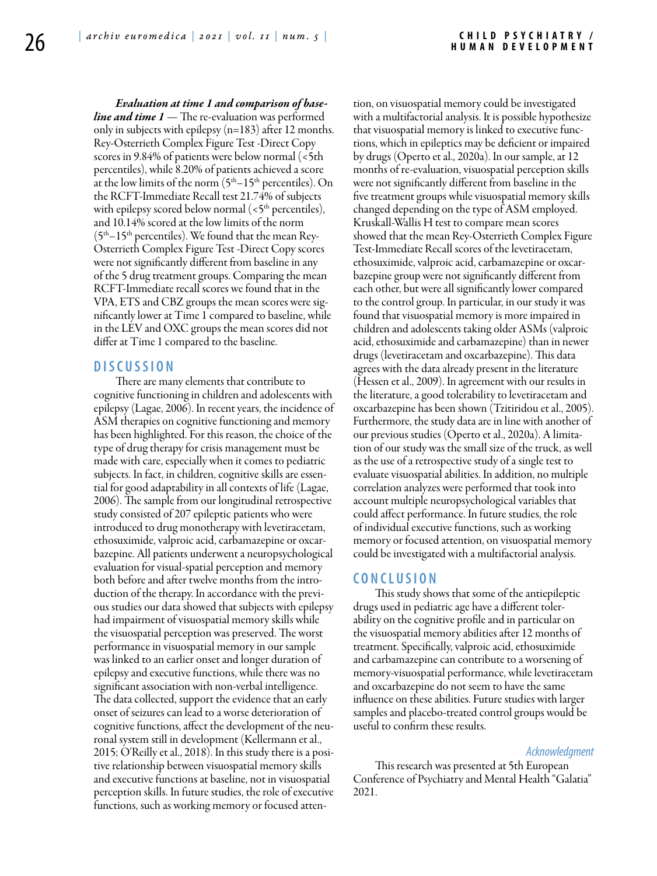*Evaluation at time 1 and comparison of baseline and time 1* — The re-evaluation was performed only in subjects with epilepsy (n=183) after 12 months. Rey-Osterrieth Complex Figure Test -Direct Copy scores in 9.84% of patients were below normal (<5th percentiles), while 8.20% of patients achieved a score at the low limits of the norm  $(5<sup>th</sup>-15<sup>th</sup>$  percentiles). On the RCFT-Immediate Recall test 21.74% of subjects with epilepsy scored below normal  $\left\langle \epsilon 5^{\text{th}}\right\rangle$  percentiles), and 10.14% scored at the low limits of the norm  $(5<sup>th</sup>-15<sup>th</sup>$  percentiles). We found that the mean Rey-Osterrieth Complex Figure Test -Direct Copy scores were not significantly different from baseline in any of the 5 drug treatment groups. Comparing the mean RCFT-Immediate recall scores we found that in the VPA, ETS and CBZ groups the mean scores were significantly lower at Time 1 compared to baseline, while in the LEV and OXC groups the mean scores did not differ at Time 1 compared to the baseline.

## **DISC U SSION**

There are many elements that contribute to cognitive functioning in children and adolescents with epilepsy (Lagae, 2006). In recent years, the incidence of ASM therapies on cognitive functioning and memory has been highlighted. For this reason, the choice of the type of drug therapy for crisis management must be made with care, especially when it comes to pediatric subjects. In fact, in children, cognitive skills are essential for good adaptability in all contexts of life (Lagae, 2006). The sample from our longitudinal retrospective study consisted of 207 epileptic patients who were introduced to drug monotherapy with levetiracetam, ethosuximide, valproic acid, carbamazepine or oxcarbazepine. All patients underwent a neuropsychological evaluation for visual-spatial perception and memory both before and after twelve months from the introduction of the therapy. In accordance with the previous studies our data showed that subjects with epilepsy had impairment of visuospatial memory skills while the visuospatial perception was preserved. The worst performance in visuospatial memory in our sample was linked to an earlier onset and longer duration of epilepsy and executive functions, while there was no significant association with non-verbal intelligence. The data collected, support the evidence that an early onset of seizures can lead to a worse deterioration of cognitive functions, affect the development of the neuronal system still in development (Kellermann et al., 2015; O'Reilly et al., 2018). In this study there is a positive relationship between visuospatial memory skills and executive functions at baseline, not in visuospatial perception skills. In future studies, the role of executive functions, such as working memory or focused attention, on visuospatial memory could be investigated with a multifactorial analysis. It is possible hypothesize that visuospatial memory is linked to executive functions, which in epileptics may be deficient or impaired by drugs (Operto et al., 2020a). In our sample, at 12 months of re-evaluation, visuospatial perception skills were not significantly different from baseline in the five treatment groups while visuospatial memory skills changed depending on the type of ASM employed. Kruskall-Wallis H test to compare mean scores showed that the mean Rey-Osterrieth Complex Figure Test-Immediate Recall scores of the levetiracetam, ethosuximide, valproic acid, carbamazepine or oxcarbazepine group were not significantly different from each other, but were all significantly lower compared to the control group. In particular, in our study it was found that visuospatial memory is more impaired in children and adolescents taking older ASMs (valproic acid, ethosuximide and carbamazepine) than in newer drugs (levetiracetam and oxcarbazepine). This data agrees with the data already present in the literature (Hessen et al., 2009). In agreement with our results in the literature, a good tolerability to levetiracetam and oxcarbazepine has been shown (Tzitiridou et al., 2005). Furthermore, the study data are in line with another of our previous studies (Operto et al., 2020a). A limitation of our study was the small size of the truck, as well as the use of a retrospective study of a single test to evaluate visuospatial abilities. In addition, no multiple correlation analyzes were performed that took into account multiple neuropsychological variables that could affect performance. In future studies, the role of individual executive functions, such as working memory or focused attention, on visuospatial memory could be investigated with a multifactorial analysis.

# **C o n cl u s i o n**

This study shows that some of the antiepileptic drugs used in pediatric age have a different tolerability on the cognitive profile and in particular on the visuospatial memory abilities after 12 months of treatment. Specifically, valproic acid, ethosuximide and carbamazepine can contribute to a worsening of memory-visuospatial performance, while levetiracetam and oxcarbazepine do not seem to have the same influence on these abilities. Future studies with larger samples and placebo-treated control groups would be useful to confirm these results.

#### *Acknowledgment*

This research was presented at 5th European Conference of Psychiatry and Mental Health "Galatia" 2021.